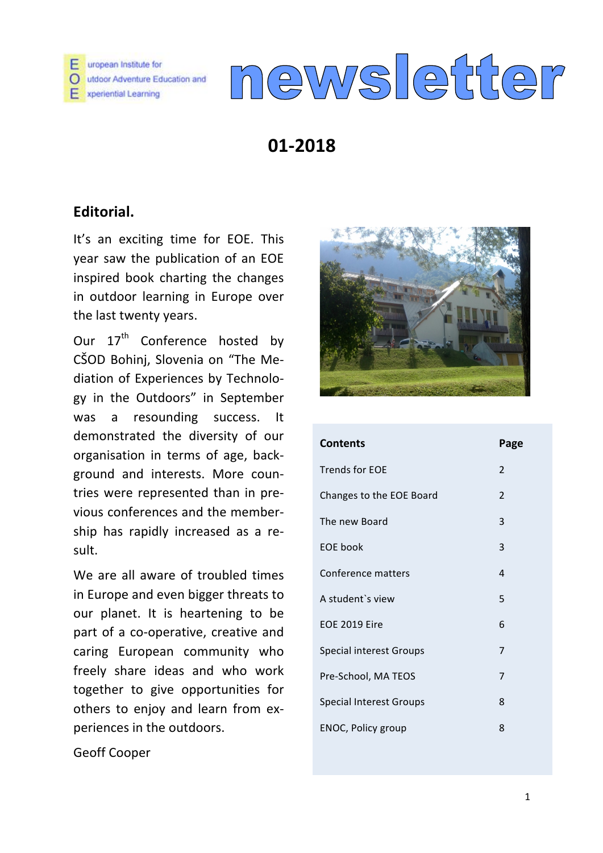

# newsletter

# **01-2018**

## **Editorial.**

It's an exciting time for EOE. This year saw the publication of an EOE inspired book charting the changes in outdoor learning in Europe over the last twenty years.

Our  $17^{\text{th}}$  Conference hosted by CŠOD Bohinj, Slovenia on "The Mediation of Experiences by Technology in the Outdoors" in September was a resounding success. It demonstrated the diversity of our organisation in terms of age, background and interests. More countries were represented than in previous conferences and the membership has rapidly increased as a result.

We are all aware of troubled times in Europe and even bigger threats to our planet. It is heartening to be part of a co-operative, creative and caring European community who freely share ideas and who work together to give opportunities for others to enjoy and learn from experiences in the outdoors.



| <b>Contents</b>                | Page           |
|--------------------------------|----------------|
| <b>Trends for EOE</b>          | $\mathfrak{p}$ |
| Changes to the EOE Board       | $\overline{2}$ |
| The new Board                  | 3              |
| <b>EOE</b> book                | 3              |
| Conference matters             | 4              |
| A student's view               | 5              |
| <b>EOE 2019 Eire</b>           | 6              |
| <b>Special interest Groups</b> | 7              |
| Pre-School, MA TEOS            | 7              |
| <b>Special Interest Groups</b> | 8              |
| ENOC, Policy group             | 8              |

Geoff Cooper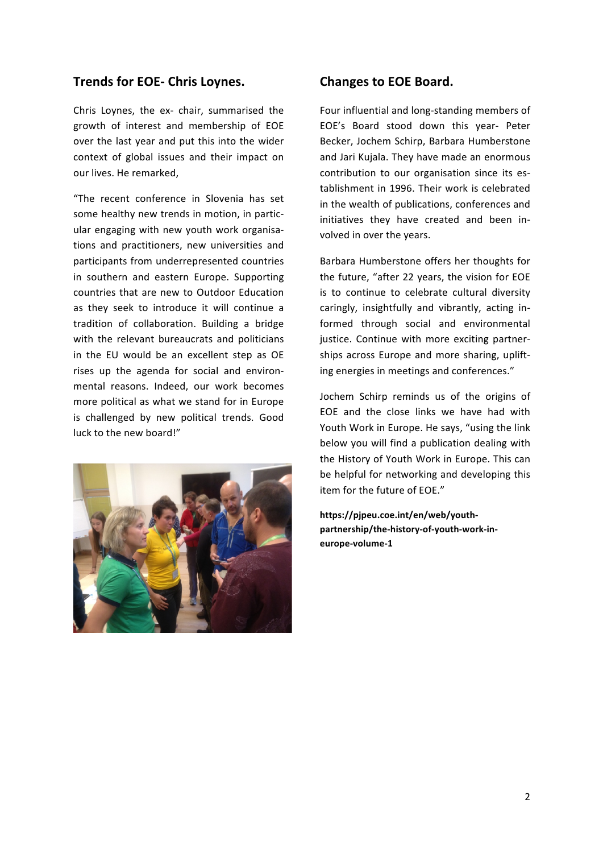#### **Trends for EOE- Chris Loynes.**

Chris Loynes, the ex- chair, summarised the growth of interest and membership of EOE over the last year and put this into the wider context of global issues and their impact on our lives. He remarked,

"The recent conference in Slovenia has set some healthy new trends in motion, in particular engaging with new youth work organisations and practitioners, new universities and participants from underrepresented countries in southern and eastern Europe. Supporting countries that are new to Outdoor Education as they seek to introduce it will continue a tradition of collaboration. Building a bridge with the relevant bureaucrats and politicians in the EU would be an excellent step as OE rises up the agenda for social and environmental reasons. Indeed, our work becomes more political as what we stand for in Europe is challenged by new political trends. Good luck to the new board!"



#### **Changes to EOE Board.**

Four influential and long-standing members of EOE's Board stood down this year- Peter Becker, Jochem Schirp, Barbara Humberstone and Jari Kujala. They have made an enormous contribution to our organisation since its establishment in 1996. Their work is celebrated in the wealth of publications, conferences and initiatives they have created and been involved in over the years.

Barbara Humberstone offers her thoughts for the future, "after 22 years, the vision for EOE is to continue to celebrate cultural diversity caringly, insightfully and vibrantly, acting informed through social and environmental justice. Continue with more exciting partnerships across Europe and more sharing, uplifting energies in meetings and conferences."

Jochem Schirp reminds us of the origins of EOE and the close links we have had with Youth Work in Europe. He says, "using the link below you will find a publication dealing with the History of Youth Work in Europe. This can be helpful for networking and developing this item for the future of EOE."

**https://pjpeu.coe.int/en/web/youthpartnership/the-history-of-youth-work-ineurope-volume-1**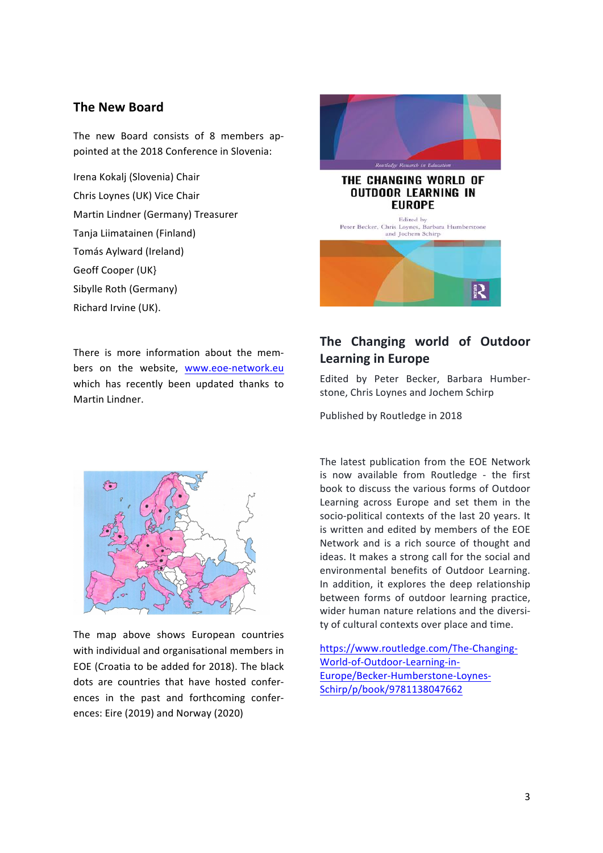#### **The New Board**

The new Board consists of 8 members appointed at the 2018 Conference in Slovenia:

Irena Kokalj (Slovenia) Chair Chris Loynes (UK) Vice Chair Martin Lindner (Germany) Treasurer Tanja Liimatainen (Finland) Tomás Aylward (Ireland) Geoff Cooper (UK) Sibylle Roth (Germany) Richard Irvine (UK).

There is more information about the members on the website, www.eoe-network.eu which has recently been updated thanks to Martin Lindner.



The map above shows European countries with individual and organisational members in EOE (Croatia to be added for 2018). The black dots are countries that have hosted conferences in the past and forthcoming conferences: Eire (2019) and Norway (2020)



## The Changing world of Outdoor **Learning in Europe**

Edited by Peter Becker, Barbara Humberstone, Chris Loynes and Jochem Schirp

Published by Routledge in 2018

The latest publication from the EOE Network is now available from Routledge - the first book to discuss the various forms of Outdoor Learning across Europe and set them in the socio-political contexts of the last 20 years. It is written and edited by members of the EOE Network and is a rich source of thought and ideas. It makes a strong call for the social and environmental benefits of Outdoor Learning. In addition, it explores the deep relationship between forms of outdoor learning practice. wider human nature relations and the diversity of cultural contexts over place and time.

https://www.routledge.com/The-Changing-World-of-Outdoor-Learning-in-Europe/Becker-Humberstone-Loynes-Schirp/p/book/9781138047662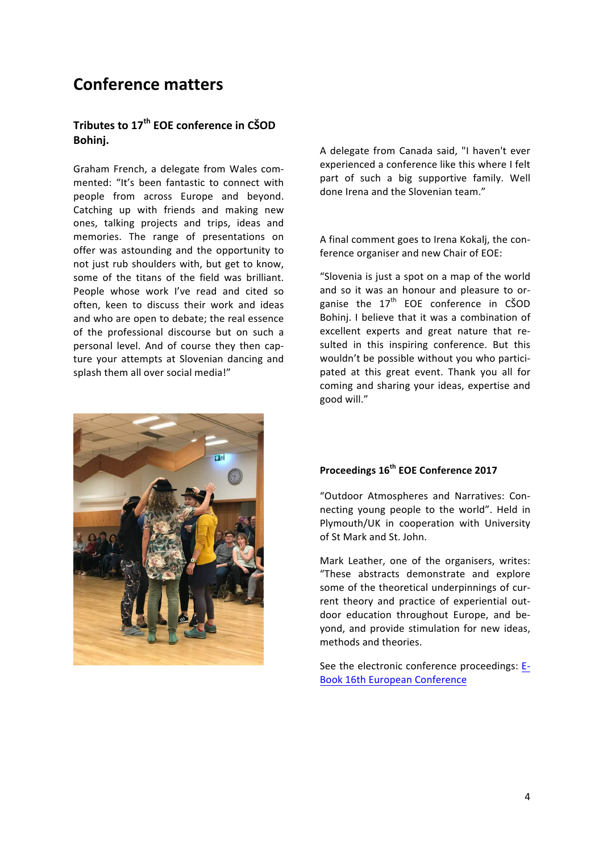# **Conference matters**

#### Tributes to 17<sup>th</sup> EOE conference in CŠOD **Bohinj.**

Graham French, a delegate from Wales commented: "It's been fantastic to connect with people from across Europe and beyond. Catching up with friends and making new ones, talking projects and trips, ideas and memories. The range of presentations on offer was astounding and the opportunity to not just rub shoulders with, but get to know, some of the titans of the field was brilliant. People whose work I've read and cited so often, keen to discuss their work and ideas and who are open to debate; the real essence of the professional discourse but on such a personal level. And of course they then capture your attempts at Slovenian dancing and splash them all over social media!"



A delegate from Canada said, "I haven't ever experienced a conference like this where I felt part of such a big supportive family. Well done Irena and the Slovenian team."

A final comment goes to Irena Kokalj, the conference organiser and new Chair of EOE:

"Slovenia is just a spot on a map of the world and so it was an honour and pleasure to organise the  $17<sup>th</sup>$  EOE conference in CSOD Bohinj. I believe that it was a combination of excellent experts and great nature that resulted in this inspiring conference. But this wouldn't be possible without you who participated at this great event. Thank you all for coming and sharing your ideas, expertise and good will."

#### **Proceedings 16th EOE Conference 2017**

"Outdoor Atmospheres and Narratives: Connecting young people to the world". Held in Plymouth/UK in cooperation with University of St Mark and St. John.

Mark Leather, one of the organisers, writes: "These abstracts demonstrate and explore some of the theoretical underpinnings of current theory and practice of experiential outdoor education throughout Europe, and bevond, and provide stimulation for new ideas, methods and theories.

See the electronic conference proceedings: E-Book 16th European Conference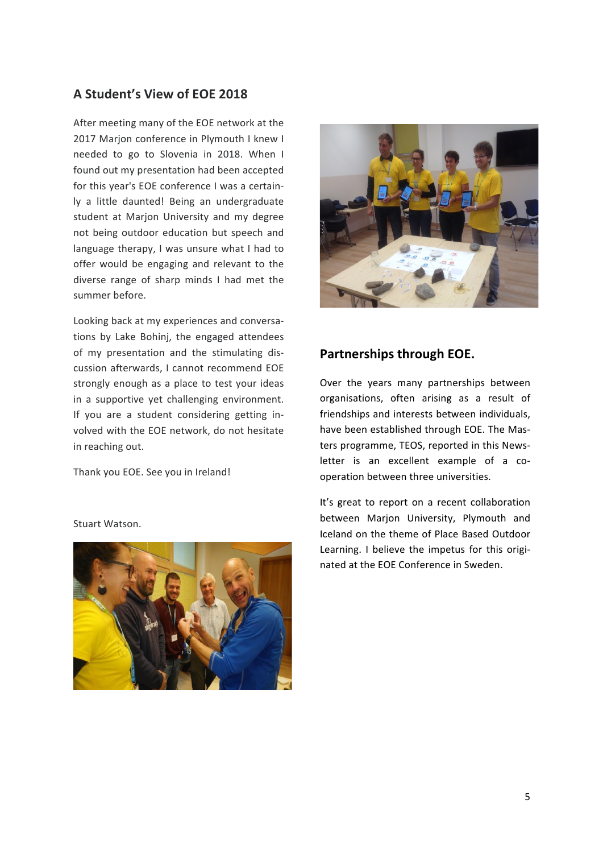## **A Student's View of EOE 2018**

After meeting many of the EOE network at the 2017 Marjon conference in Plymouth I knew I needed to go to Slovenia in 2018. When I found out my presentation had been accepted for this vear's EOE conference I was a certainly a little daunted! Being an undergraduate student at Marion University and my degree not being outdoor education but speech and language therapy, I was unsure what I had to offer would be engaging and relevant to the diverse range of sharp minds I had met the summer before.

Looking back at my experiences and conversations by Lake Bohinj, the engaged attendees of my presentation and the stimulating discussion afterwards, I cannot recommend EOE strongly enough as a place to test your ideas in a supportive yet challenging environment. If you are a student considering getting involved with the EOE network, do not hesitate in reaching out.

Thank you EOE. See you in Ireland!



#### **Partnerships through EOE.**

Over the years many partnerships between organisations, often arising as a result of friendships and interests between individuals, have been established through EOE. The Masters programme, TEOS, reported in this Newsletter is an excellent example of a cooperation between three universities.

It's great to report on a recent collaboration between Marjon University, Plymouth and Iceland on the theme of Place Based Outdoor Learning. I believe the impetus for this originated at the FOE Conference in Sweden.

Stuart Watson.

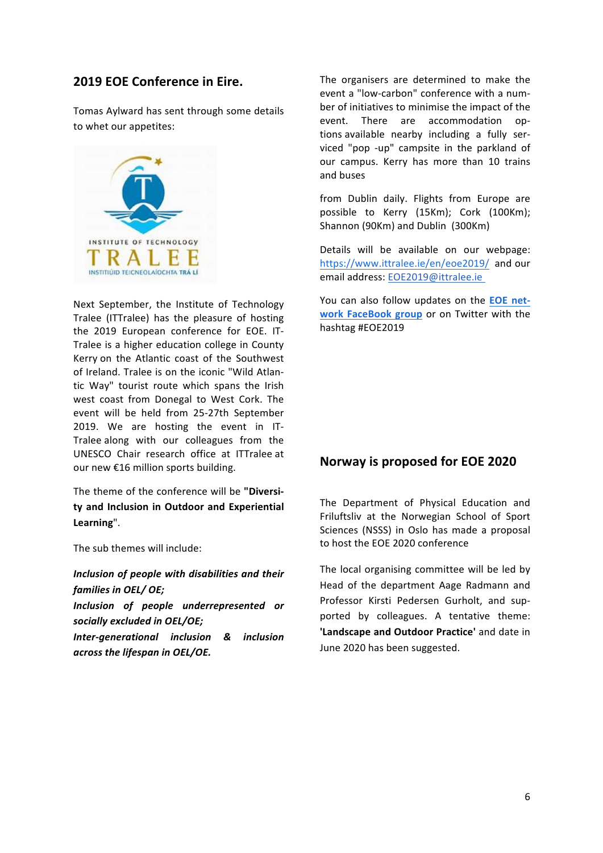#### **2019 EOE Conference in Eire.**

Tomas Aylward has sent through some details to whet our appetites:



Next September, the Institute of Technology Tralee (ITTralee) has the pleasure of hosting the 2019 European conference for EOE. IT-Tralee is a higher education college in County Kerry on the Atlantic coast of the Southwest of Ireland. Tralee is on the iconic "Wild Atlantic Way" tourist route which spans the Irish west coast from Donegal to West Cork. The event will be held from 25-27th September 2019. We are hosting the event in IT-Tralee along with our colleagues from the UNESCO Chair research office at ITTralee at our new €16 million sports building.

The theme of the conference will be "Diversity and Inclusion in Outdoor and Experiential **Learning**". 

The sub themes will include:

*Inclusion of people with disabilities and their* families in OEL/ OE;

*Inclusion of people underrepresented or*  socially excluded in OEL/OE;

*Inter-generational inclusion & inclusion across the lifespan in OEL/OE.*

The organisers are determined to make the event a "low-carbon" conference with a number of initiatives to minimise the impact of the event. There are accommodation options available nearby including a fully serviced "pop -up" campsite in the parkland of our campus. Kerry has more than 10 trains and buses 

from Dublin daily. Flights from Europe are possible to Kerry (15Km); Cork (100Km); Shannon (90Km) and Dublin (300Km)

Details will be available on our webpage: https://www.ittralee.ie/en/eoe2019/ and our email address: EOE2019@ittralee.ie

You can also follow updates on the **EOE** net**work FaceBook group** or on Twitter with the hashtag #EOE2019

#### **Norway is proposed for EOE 2020**

The Department of Physical Education and Friluftsliv at the Norwegian School of Sport Sciences (NSSS) in Oslo has made a proposal to host the EOE 2020 conference

The local organising committee will be led by Head of the department Aage Radmann and Professor Kirsti Pedersen Gurholt, and supported by colleagues. A tentative theme: 'Landscape and Outdoor Practice' and date in June 2020 has been suggested.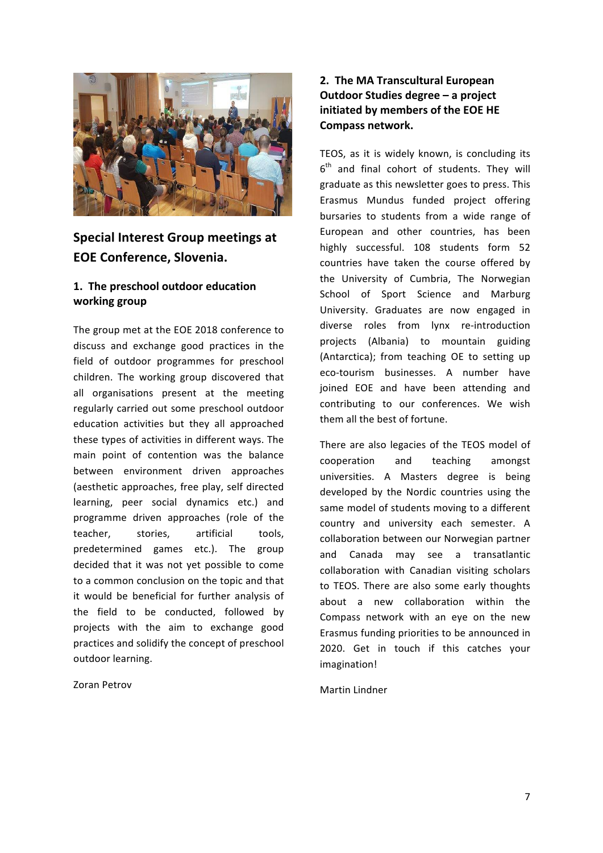

## **Special Interest Group meetings at EOE Conference, Slovenia.**

#### 1. The preschool outdoor education **working group**

The group met at the EOE 2018 conference to discuss and exchange good practices in the field of outdoor programmes for preschool children. The working group discovered that all organisations present at the meeting regularly carried out some preschool outdoor education activities but they all approached these types of activities in different ways. The main point of contention was the balance between environment driven approaches (aesthetic approaches, free play, self directed learning, peer social dynamics etc.) and programme driven approaches (role of the teacher, stories, artificial tools, predetermined games etc.). The group decided that it was not yet possible to come to a common conclusion on the topic and that it would be beneficial for further analysis of the field to be conducted, followed by projects with the aim to exchange good practices and solidify the concept of preschool outdoor learning.

#### Zoran Petrov

#### **2. The MA Transcultural European Outdoor Studies degree – a project initiated by members of the EOE HE Compass network.**

TEOS, as it is widely known, is concluding its  $6<sup>th</sup>$  and final cohort of students. They will graduate as this newsletter goes to press. This Erasmus Mundus funded project offering bursaries to students from a wide range of European and other countries, has been highly successful. 108 students form 52 countries have taken the course offered by the University of Cumbria, The Norwegian School of Sport Science and Marburg University. Graduates are now engaged in diverse roles from lynx re-introduction projects (Albania) to mountain guiding (Antarctica); from teaching OE to setting up eco-tourism businesses. A number have joined EOE and have been attending and contributing to our conferences. We wish them all the best of fortune.

There are also legacies of the TEOS model of cooperation and teaching amongst universities. A Masters degree is being developed by the Nordic countries using the same model of students moving to a different country and university each semester. A collaboration between our Norwegian partner and Canada may see a transatlantic collaboration with Canadian visiting scholars to TEOS. There are also some early thoughts about a new collaboration within the Compass network with an eye on the new Erasmus funding priorities to be announced in 2020. Get in touch if this catches your imagination!

#### Martin Lindner